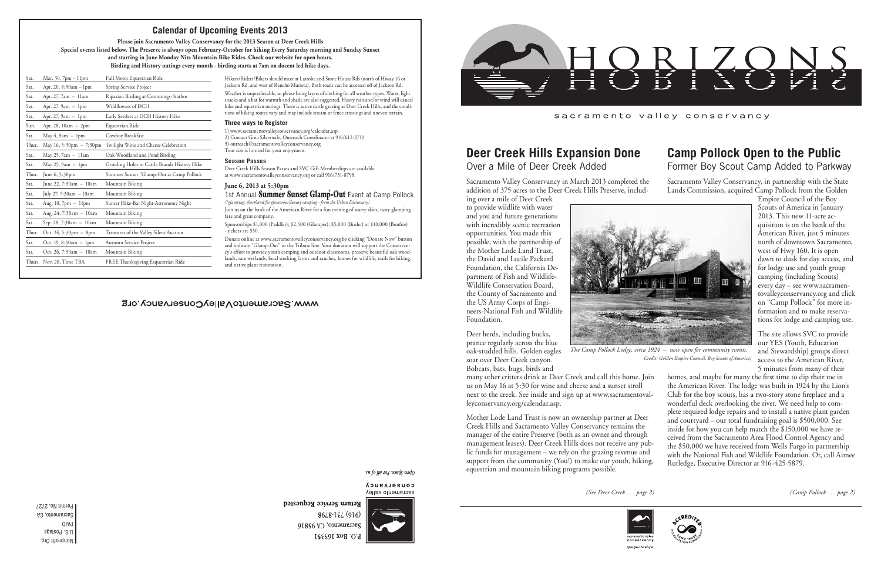Nonprofit Org. U.S. Postage PAID Sacramento, CA Permit No. 2727

## sacramento valley conservancy

# **Deer Creek Hills Expansion Done**

Over a Mile of Deer Creek Added

ing over a mile of Deer Creek to provide wildlife with water and you and future generations with incredibly scenic recreation opportunities. You made this possible, with the partnership of the Mother Lode Land Trust, the David and Lucile Packard Foundation, the California Department of Fish and Wildlife-Wildlife Conservation Board, the County of Sacramento and the US Army Corps of Engineers-National Fish and Wildlife Foundation.

Deer herds, including bucks, prance regularly across the blue oak-studded hills. Golden eagles soar over Deer Creek canyon. Bobcats, bats, bugs, birds and

many other critters drink at Deer Creek and call this home. Join us on May 16 at 5:30 for wine and cheese and a sunset stroll next to the creek. See inside and sign up at www.sacramentovalleyconservancy.org/calendar.asp. Mother Lode Land Trust is now an ownership partner at Deer Creek Hills and Sacramento Valley Conservancy remains the manager of the entire Preserve (both as an owner and through management leases). Deer Creek Hills does not receive any public funds for management – we rely on the grazing revenue and support from the community (You!) to make our youth, hiking, equestrian and mountain biking programs possible.



Open Space. For all of u

Return Service Requested

1st Annual **Summer Sunset Glamp-Out** Event at Camp Pollock *(\*glamping: shorthand for glamorous/luxury camping - from the Urban Dictionary)*

Hikers/Riders/Bikers should meet at Latrobe and Stone House Rds (north of Hiway 16 or Jackson Rd. and west of Rancho Murieta). Both roads can be accessed off of Jackson Rd.

Weather is unpredictable, so please bring layers of clothing for all weather types. Water, light snacks and a hat for warmth and shade are also suggested. Heavy rain and/or wind will cancel hike and equestrian outings. There is active cattle grazing at Deer Creek Hills, and the conditions of hiking routes vary and may include stream or fence crossings and uneven terrain.

#### **Three ways to Register**

1) www.sacramentovalleyconservancy.org/calendar.asp 2) Contact Gina Silvernale, Outreach Coordinator at 916/612-3719 3) outreach@sacramentovalleyconservancy.org Tour size is limited for your enjoyment.

#### **Season Passes**

Deer Creek Hills Season Passes and SVC Gift Memberships are available at www.sacramentovalleyconservancy.org or call 916/731-8798.

### **June 6, 2013 at 5:30pm**

Sacramento Valley Conservancy in March 2013 completed the addition of 375 acres to the Deer Creek Hills Preserve, includ-Sacramento Valley Conservancy, in partnership with the State Lands Commission, acquired Camp Pollock from the Golden

Join us on the bank of the American River for a fun evening of starry skies, tasty glamping fare and great company.

Sponsorships \$1,000 (Paddler); \$2,500 (Glamper); \$5,000 (Birder) or \$10,000 (Bonfire) - tickets are \$50.

Donate online at www.sacramentovalleyconservancy.org by clicking "Donate Now" button and indicate "Glamp-Out" in the Tribute line. Your donation will support the Conservancy's effort to provide youth camping and outdoor classrooms, preserve beautiful oak woodlands, rare wetlands, local working farms and ranches, homes for wildlife, trails for hiking, and native plant restoration.

## WWW.SacramentoValleyConservancy.org

open Space For all by a

CONSELASUCA sacramento valley



8648-184 (916) Sacramento, CA 95816 P.O. Box 163351





 *Credit: Golden Empire Council, Boy Scouts of America)*

| Sat.  | Mar. $30, 7$ pm $-11$ pm   | Full Moon Equestrian Ride                    |
|-------|----------------------------|----------------------------------------------|
| Sat.  | Apr. 20, 8:30am - 1pm      | Spring Service Project                       |
| Sat.  | Apr. 27, 7am - 11am        | Riparian Birding at Cummings-Stathos         |
| Sat.  | Apr. $27, 9am - 1pm$       | Wildflowers of DCH                           |
| Sat.  | Apr. $27, 9am - 1pm$       | Early Settlers at DCH History Hike           |
| Sun.  | Apr. 28, 10am - 2pm        | Equestrian Ride                              |
| Sat.  | May $4, 9$ am $-1$ pm      | Cowboy Breakfast                             |
| Thur. | May 16, 5:30pm $- 7:30$ pm | Twilight Wine and Cheese Celebration         |
| Sat.  | May 25, 7am - 11am         | Oak Woodland and Pond Birding                |
| Sat.  | May 25, $9am - 1pm$        | Grinding Holes to Cattle Brands History Hike |
| Thur. | June 6, 5:30pm             | Summer Sunset "Glamp-Out at Camp Pollock     |
| Sat.  | June 22, $7:30am - 10am$   | Mountain Biking                              |
| Sat.  | July 27, 7:30am - 10am     | Mountain Biking                              |
| Sat.  | Aug. $10, 7$ pm $-11$ pm   | Sunset Hike-Bat Night-Astronomy Night        |
| Sat.  | Aug. 24, 7:30am - 10am     | Mountain Biking                              |
| Sat.  | Sep. 28, 7:30am - 10am     | Mountain Biking                              |
| Thur. | Oct. 24, 5:30pm $-$ 8pm    | Treasures of the Valley Silent Auction       |
| Sat.  | Oct. 19, 8:30am $-$ 1pm    | Autumn Service Project                       |
| Sat.  | Oct. 26, 7:30am - 10am     | Mountain Biking                              |
|       | Thurs. Nov. 28, Time TBA   | FREE Thanksgiving Esquestrian Ride           |

## **Calendar of Upcoming Events 2013**

**Please join Sacramento Valley Conservancy for the 2013 Season at Deer Creek Hills**

**Special events listed below. The Preserve is always open February-October for hiking Every Saturday morning and Sunday Sunset and starting in June Monday Nite Mountain Bike Rides. Check our website for open hours.**

**Birding and History outings every month - birding starts at 7am on docent led hike days.**

## **Camp Pollock Open to the Public** Former Boy Scout Camp Added to Parkway

Empire Council of the Boy Scouts of America in January 2013. This new 11-acre acquisition is on the bank of the American River, just 5 minutes north of downtown Sacramento, west of Hwy 160. It is open dawn to dusk for day access, and for lodge use and youth group camping (including Scouts) every day – see www.sacramentovalleyconservancy.org and click on "Camp Pollock" for more information and to make reservations for lodge and camping use.

The site allows SVC to provide our YES (Youth, Education and Stewardship) groups direct access to the American River, 5 minutes from many of their



homes, and maybe for many the first time to dip their toe in the American River. The lodge was built in 1924 by the Lion's Club for the boy scouts, has a two-story stone fireplace and a wonderful deck overlooking the river. We need help to complete required lodge repairs and to install a native plant garden and courtyard – our total fundraising goal is \$500,000. See inside for how you can help match the \$150,000 we have received from the Sacramento Area Flood Control Agency and the \$50,000 we have received from Wells Fargo in partnership with the National Fish and Wildlife Foundation. Or, call Aimee Rutledge, Executive Director at 916-425-5879.

*(See Deer Creek . . . page 2) (Camp Pollock . . . page 2)*